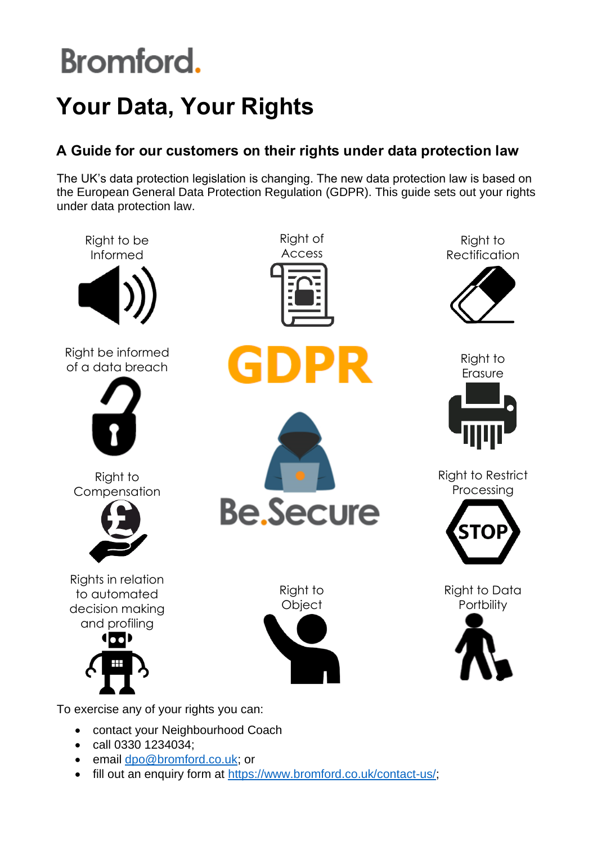## **Your Data, Your Rights**

### **A Guide for our customers on their rights under data protection law**

The UK's data protection legislation is changing. The new data protection law is based on the European General Data Protection Regulation (GDPR). This guide sets out your rights under data protection law.



To exercise any of your rights you can:

- contact your Neighbourhood Coach
- call 0330 1234034;
- email [dpo@bromford.co.uk;](mailto:dpo@bromford.co.uk) or
- fill out an enquiry form at [https://www.bromford.co.uk/contact-us/;](https://www.bromford.co.uk/contact-us/)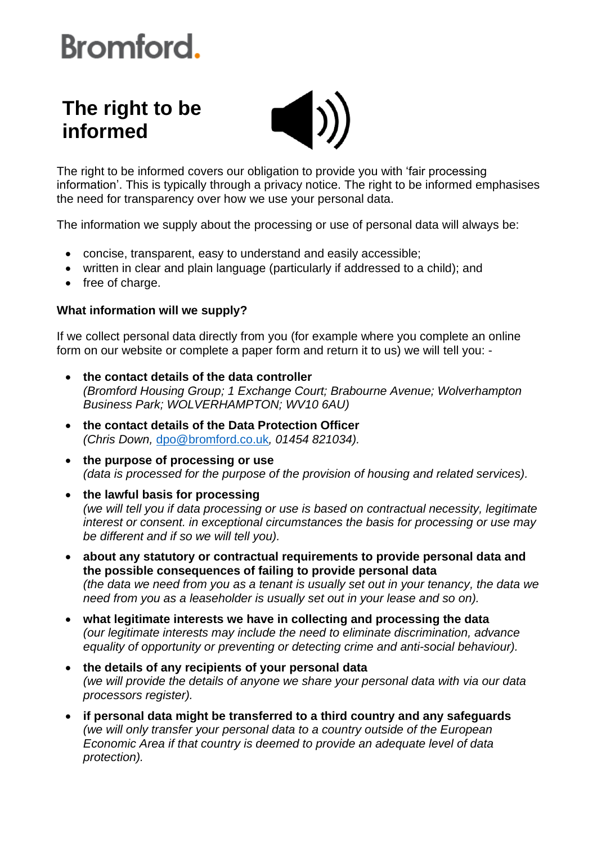### **The right to be informed**



The right to be informed covers our obligation to provide you with 'fair processing information'. This is typically through a privacy notice. The right to be informed emphasises the need for transparency over how we use your personal data.

The information we supply about the processing or use of personal data will always be:

- concise, transparent, easy to understand and easily accessible;
- written in clear and plain language (particularly if addressed to a child); and
- free of charge.

### **What information will we supply?**

If we collect personal data directly from you (for example where you complete an online form on our website or complete a paper form and return it to us) we will tell you: -

- **the contact details of the data controller** *(Bromford Housing Group; 1 Exchange Court; Brabourne Avenue; Wolverhampton Business Park; WOLVERHAMPTON; WV10 6AU)*
- **the contact details of the Data Protection Officer** *(Chris Down,* [dpo@bromford.co.uk](mailto:dpo@bromford.co.uk)*, 01454 821034).*
- **the purpose of processing or use** *(data is processed for the purpose of the provision of housing and related services).*
- **the lawful basis for processing** *(we will tell you if data processing or use is based on contractual necessity, legitimate interest or consent. in exceptional circumstances the basis for processing or use may be different and if so we will tell you).*
- **about any statutory or contractual requirements to provide personal data and the possible consequences of failing to provide personal data** *(the data we need from you as a tenant is usually set out in your tenancy, the data we need from you as a leaseholder is usually set out in your lease and so on).*
- **what legitimate interests we have in collecting and processing the data** *(our legitimate interests may include the need to eliminate discrimination, advance equality of opportunity or preventing or detecting crime and anti-social behaviour).*
- **the details of any recipients of your personal data** *(we will provide the details of anyone we share your personal data with via our data processors register).*
- **if personal data might be transferred to a third country and any safeguards** *(we will only transfer your personal data to a country outside of the European Economic Area if that country is deemed to provide an adequate level of data protection).*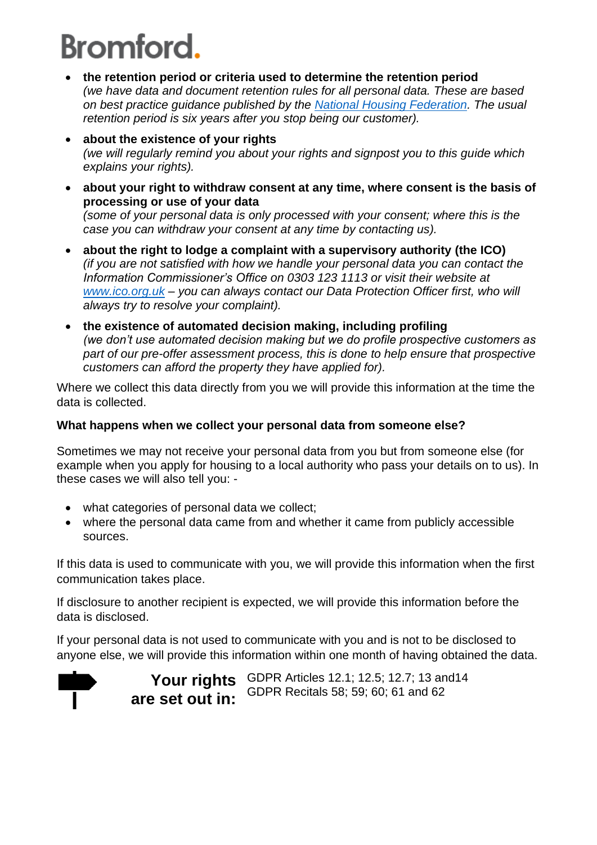- **the retention period or criteria used to determine the retention period** *(we have data and document retention rules for all personal data. These are based on best practice guidance published by the [National Housing Federation.](http://s3-eu-west-1.amazonaws.com/pub.housing.org.uk/2013_Documentation_Retention_Schedule.pdf) The usual retention period is six years after you stop being our customer).*
- **about the existence of your rights** *(we will regularly remind you about your rights and signpost you to this guide which explains your rights).*
- **about your right to withdraw consent at any time, where consent is the basis of processing or use of your data**

*(some of your personal data is only processed with your consent; where this is the case you can withdraw your consent at any time by contacting us).*

- **about the right to lodge a complaint with a supervisory authority (the ICO)** *(if you are not satisfied with how we handle your personal data you can contact the Information Commissioner's Office on 0303 123 1113 or visit their website at [www.ico.org.uk](http://www.ico.org.uk/) – you can always contact our Data Protection Officer first, who will always try to resolve your complaint).*
- **the existence of automated decision making, including profiling** *(we don't use automated decision making but we do profile prospective customers as part of our pre-offer assessment process, this is done to help ensure that prospective customers can afford the property they have applied for).*

Where we collect this data directly from you we will provide this information at the time the data is collected.

### **What happens when we collect your personal data from someone else?**

Sometimes we may not receive your personal data from you but from someone else (for example when you apply for housing to a local authority who pass your details on to us). In these cases we will also tell you: -

- what categories of personal data we collect;
- where the personal data came from and whether it came from publicly accessible sources.

If this data is used to communicate with you, we will provide this information when the first communication takes place.

If disclosure to another recipient is expected, we will provide this information before the data is disclosed.

If your personal data is not used to communicate with you and is not to be disclosed to anyone else, we will provide this information within one month of having obtained the data.



**Your rights**  GDPR Articles 12.1; 12.5; 12.7; 13 and14 **are set out in:** GDPR Recitals 58; 59; 60; 61 and 62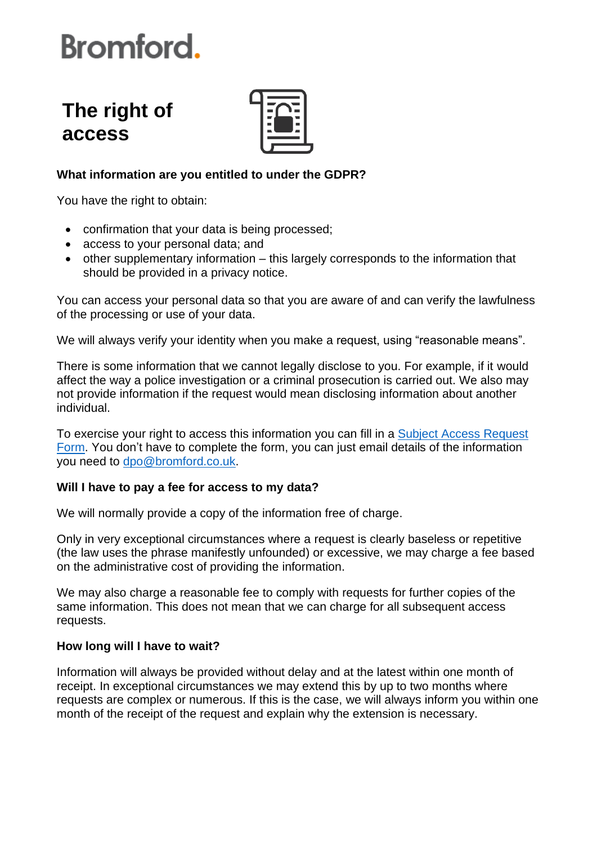### **The right of access**



### **What information are you entitled to under the GDPR?**

You have the right to obtain:

- confirmation that your data is being processed;
- access to your personal data; and
- other supplementary information this largely corresponds to the information that should be provided in a privacy notice.

You can access your personal data so that you are aware of and can verify the lawfulness of the processing or use of your data.

We will always verify your identity when you make a request, using "reasonable means".

There is some information that we cannot legally disclose to you. For example, if it would affect the way a police investigation or a criminal prosecution is carried out. We also may not provide information if the request would mean disclosing information about another individual.

To exercise your right to access this information you can fill in a [Subject Access Request](https://bromford-my.sharepoint.com/:b:/g/personal/chris_down_bromford_co_uk/EUgZ7V80gfxNj0t_ZDCg1PQBGyrI5ksGzpIkllajDFOp7Q?e=6YrRwZ)  [Form.](https://bromford-my.sharepoint.com/:b:/g/personal/chris_down_bromford_co_uk/EUgZ7V80gfxNj0t_ZDCg1PQBGyrI5ksGzpIkllajDFOp7Q?e=6YrRwZ) You don't have to complete the form, you can just email details of the information you need to [dpo@bromford.co.uk.](mailto:dpo@bromford.co.uk)

### **Will I have to pay a fee for access to my data?**

We will normally provide a copy of the information free of charge.

Only in very exceptional circumstances where a request is clearly baseless or repetitive (the law uses the phrase manifestly unfounded) or excessive, we may charge a fee based on the administrative cost of providing the information.

We may also charge a reasonable fee to comply with requests for further copies of the same information. This does not mean that we can charge for all subsequent access requests.

#### **How long will I have to wait?**

Information will always be provided without delay and at the latest within one month of receipt. In exceptional circumstances we may extend this by up to two months where requests are complex or numerous. If this is the case, we will always inform you within one month of the receipt of the request and explain why the extension is necessary.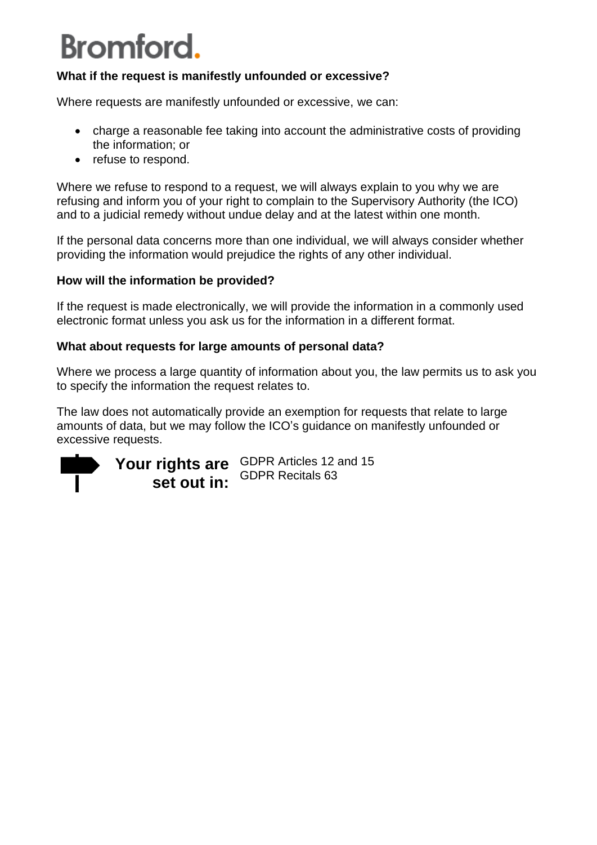### **What if the request is manifestly unfounded or excessive?**

Where requests are manifestly unfounded or excessive, we can:

- charge a reasonable fee taking into account the administrative costs of providing the information; or
- refuse to respond.

Where we refuse to respond to a request, we will always explain to you why we are refusing and inform you of your right to complain to the Supervisory Authority (the ICO) and to a judicial remedy without undue delay and at the latest within one month.

If the personal data concerns more than one individual, we will always consider whether providing the information would prejudice the rights of any other individual.

### **How will the information be provided?**

If the request is made electronically, we will provide the information in a commonly used electronic format unless you ask us for the information in a different format.

### **What about requests for large amounts of personal data?**

Where we process a large quantity of information about you, the law permits us to ask you to specify the information the request relates to.

The law does not automatically provide an exemption for requests that relate to large amounts of data, but we may follow the ICO's guidance on manifestly unfounded or excessive requests.



**Your rights are**  GDPR Articles 12 and 15 **set out in:** GDPR Recitals 63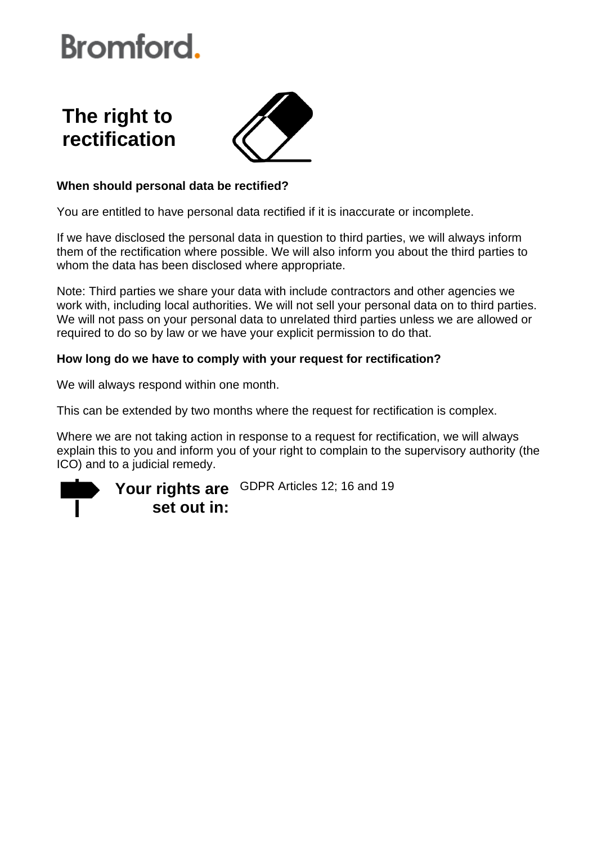### **The right to rectification**



### **When should personal data be rectified?**

You are entitled to have personal data rectified if it is inaccurate or incomplete.

If we have disclosed the personal data in question to third parties, we will always inform them of the rectification where possible. We will also inform you about the third parties to whom the data has been disclosed where appropriate.

Note: Third parties we share your data with include contractors and other agencies we work with, including local authorities. We will not sell your personal data on to third parties. We will not pass on your personal data to unrelated third parties unless we are allowed or required to do so by law or we have your explicit permission to do that.

### **How long do we have to comply with your request for rectification?**

We will always respond within one month.

This can be extended by two months where the request for rectification is complex.

Where we are not taking action in response to a request for rectification, we will always explain this to you and inform you of your right to complain to the supervisory authority (the ICO) and to a judicial remedy.

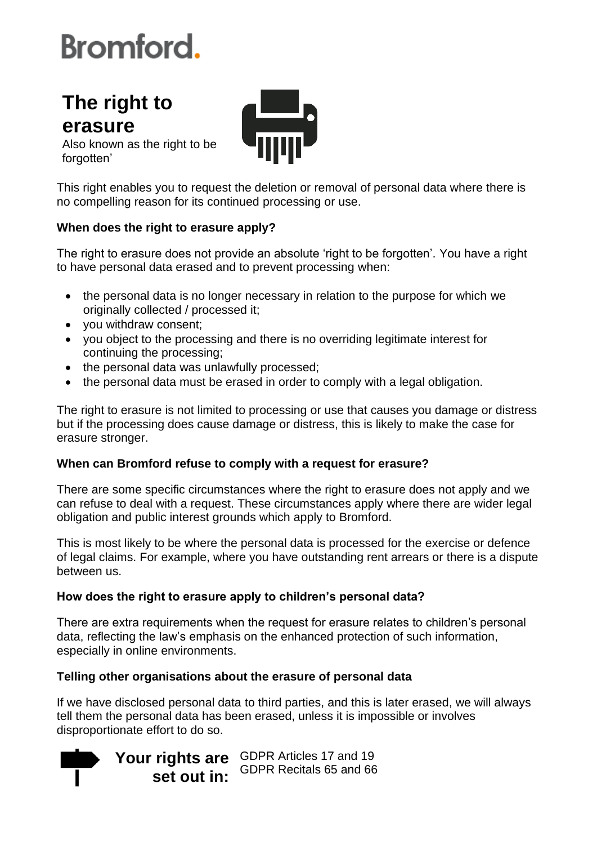### **The right to erasure**



Also known as the right to be forgotten'

This right enables you to request the deletion or removal of personal data where there is no compelling reason for its continued processing or use.

### **When does the right to erasure apply?**

The right to erasure does not provide an absolute 'right to be forgotten'. You have a right to have personal data erased and to prevent processing when:

- the personal data is no longer necessary in relation to the purpose for which we originally collected / processed it;
- you withdraw consent;
- you object to the processing and there is no overriding legitimate interest for continuing the processing;
- the personal data was unlawfully processed;
- the personal data must be erased in order to comply with a legal obligation.

The right to erasure is not limited to processing or use that causes you damage or distress but if the processing does cause damage or distress, this is likely to make the case for erasure stronger.

### **When can Bromford refuse to comply with a request for erasure?**

There are some specific circumstances where the right to erasure does not apply and we can refuse to deal with a request. These circumstances apply where there are wider legal obligation and public interest grounds which apply to Bromford.

This is most likely to be where the personal data is processed for the exercise or defence of legal claims. For example, where you have outstanding rent arrears or there is a dispute between us.

### **How does the right to erasure apply to children's personal data?**

There are extra requirements when the request for erasure relates to children's personal data, reflecting the law's emphasis on the enhanced protection of such information, especially in online environments.

### **Telling other organisations about the erasure of personal data**

If we have disclosed personal data to third parties, and this is later erased, we will always tell them the personal data has been erased, unless it is impossible or involves disproportionate effort to do so.

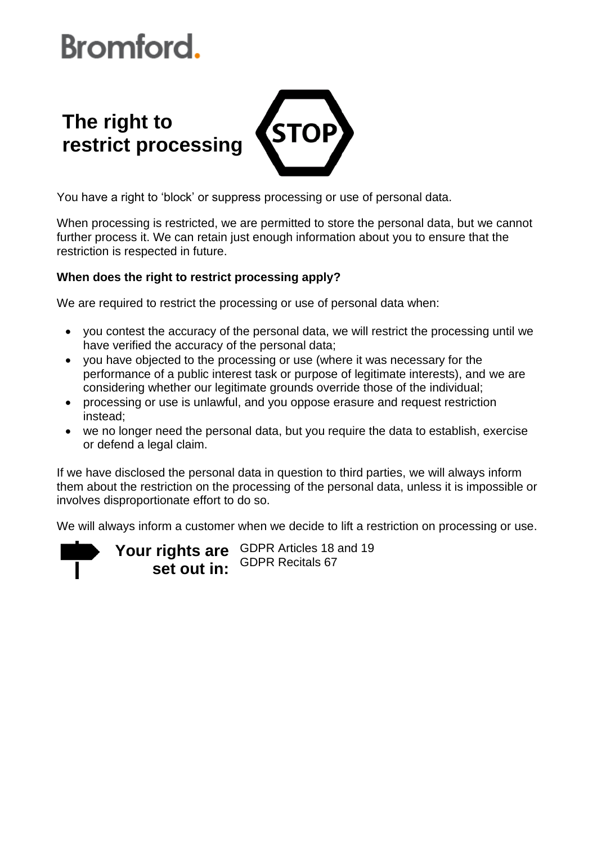### **The right to**  STOI **restrict processing**

You have a right to 'block' or suppress processing or use of personal data.

When processing is restricted, we are permitted to store the personal data, but we cannot further process it. We can retain just enough information about you to ensure that the restriction is respected in future.

### **When does the right to restrict processing apply?**

We are required to restrict the processing or use of personal data when:

- you contest the accuracy of the personal data, we will restrict the processing until we have verified the accuracy of the personal data;
- you have objected to the processing or use (where it was necessary for the performance of a public interest task or purpose of legitimate interests), and we are considering whether our legitimate grounds override those of the individual;
- processing or use is unlawful, and you oppose erasure and request restriction instead;
- we no longer need the personal data, but you require the data to establish, exercise or defend a legal claim.

If we have disclosed the personal data in question to third parties, we will always inform them about the restriction on the processing of the personal data, unless it is impossible or involves disproportionate effort to do so.

We will always inform a customer when we decide to lift a restriction on processing or use.

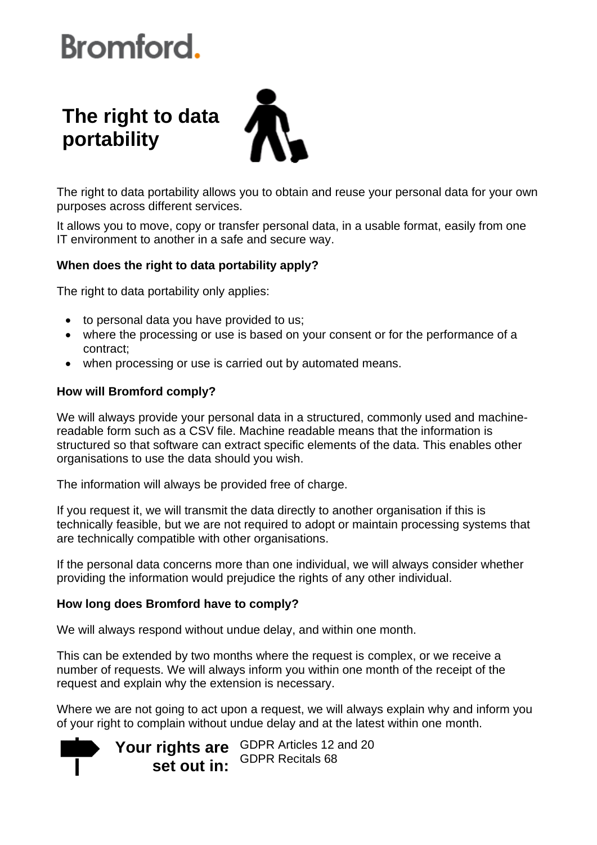### **The right to data portability**



The right to data portability allows you to obtain and reuse your personal data for your own purposes across different services.

It allows you to move, copy or transfer personal data, in a usable format, easily from one IT environment to another in a safe and secure way.

#### **When does the right to data portability apply?**

The right to data portability only applies:

- to personal data you have provided to us;
- where the processing or use is based on your consent or for the performance of a contract;
- when processing or use is carried out by automated means.

### **How will Bromford comply?**

We will always provide your personal data in a structured, commonly used and machinereadable form such as a CSV file. Machine readable means that the information is structured so that software can extract specific elements of the data. This enables other organisations to use the data should you wish.

The information will always be provided free of charge.

If you request it, we will transmit the data directly to another organisation if this is technically feasible, but we are not required to adopt or maintain processing systems that are technically compatible with other organisations.

If the personal data concerns more than one individual, we will always consider whether providing the information would prejudice the rights of any other individual.

### **How long does Bromford have to comply?**

We will always respond without undue delay, and within one month.

This can be extended by two months where the request is complex, or we receive a number of requests. We will always inform you within one month of the receipt of the request and explain why the extension is necessary.

Where we are not going to act upon a request, we will always explain why and inform you of your right to complain without undue delay and at the latest within one month.

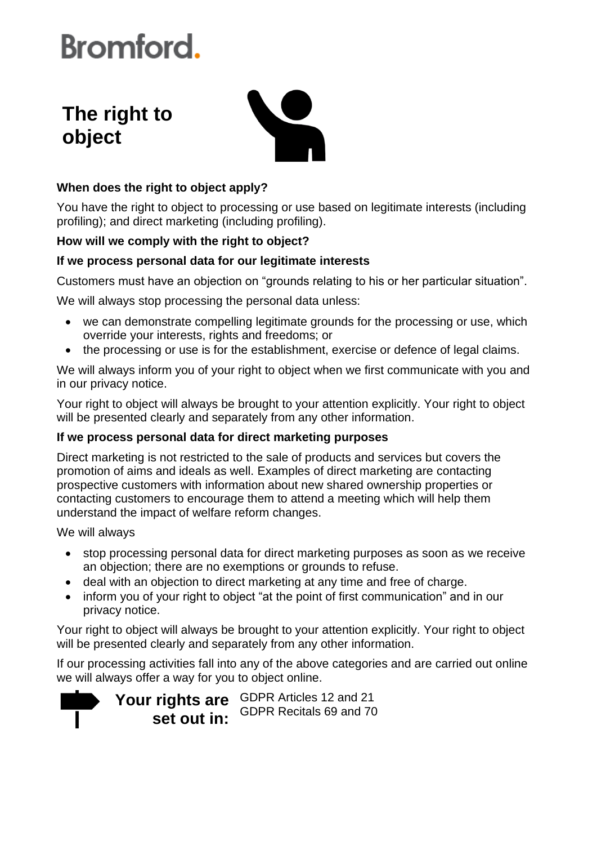### **The right to object**



### **When does the right to object apply?**

You have the right to object to processing or use based on legitimate interests (including profiling); and direct marketing (including profiling).

### **How will we comply with the right to object?**

### **If we process personal data for our legitimate interests**

Customers must have an objection on "grounds relating to his or her particular situation".

We will always stop processing the personal data unless:

- we can demonstrate compelling legitimate grounds for the processing or use, which override your interests, rights and freedoms; or
- the processing or use is for the establishment, exercise or defence of legal claims.

We will always inform you of your right to object when we first communicate with you and in our privacy notice.

Your right to object will always be brought to your attention explicitly. Your right to object will be presented clearly and separately from any other information.

### **If we process personal data for direct marketing purposes**

Direct marketing is not restricted to the sale of products and services but covers the promotion of aims and ideals as well. Examples of direct marketing are contacting prospective customers with information about new shared ownership properties or contacting customers to encourage them to attend a meeting which will help them understand the impact of welfare reform changes.

We will always

- stop processing personal data for direct marketing purposes as soon as we receive an objection; there are no exemptions or grounds to refuse.
- deal with an objection to direct marketing at any time and free of charge.
- inform you of your right to object "at the point of first communication" and in our privacy notice.

Your right to object will always be brought to your attention explicitly. Your right to object will be presented clearly and separately from any other information.

If our processing activities fall into any of the above categories and are carried out online we will always offer a way for you to object online.

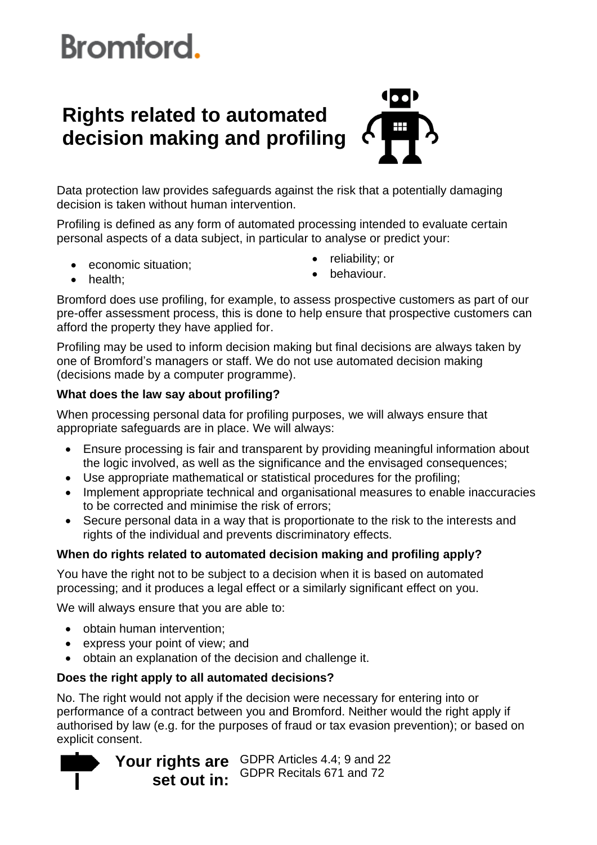### **Rights related to automated decision making and profiling**



Data protection law provides safeguards against the risk that a potentially damaging decision is taken without human intervention.

Profiling is defined as any form of automated processing intended to evaluate certain personal aspects of a data subject, in particular to analyse or predict your:

• economic situation;

• reliability: or

• health;

• behaviour.

Bromford does use profiling, for example, to assess prospective customers as part of our pre-offer assessment process, this is done to help ensure that prospective customers can afford the property they have applied for.

Profiling may be used to inform decision making but final decisions are always taken by one of Bromford's managers or staff. We do not use automated decision making (decisions made by a computer programme).

### **What does the law say about profiling?**

When processing personal data for profiling purposes, we will always ensure that appropriate safeguards are in place. We will always:

- Ensure processing is fair and transparent by providing meaningful information about the logic involved, as well as the significance and the envisaged consequences;
- Use appropriate mathematical or statistical procedures for the profiling;
- Implement appropriate technical and organisational measures to enable inaccuracies to be corrected and minimise the risk of errors;
- Secure personal data in a way that is proportionate to the risk to the interests and rights of the individual and prevents discriminatory effects.

### **When do rights related to automated decision making and profiling apply?**

You have the right not to be subject to a decision when it is based on automated processing; and it produces a legal effect or a similarly significant effect on you.

We will always ensure that you are able to:

- obtain human intervention;
- express your point of view; and
- obtain an explanation of the decision and challenge it.

### **Does the right apply to all automated decisions?**

No. The right would not apply if the decision were necessary for entering into or performance of a contract between you and Bromford. Neither would the right apply if authorised by law (e.g. for the purposes of fraud or tax evasion prevention); or based on explicit consent.

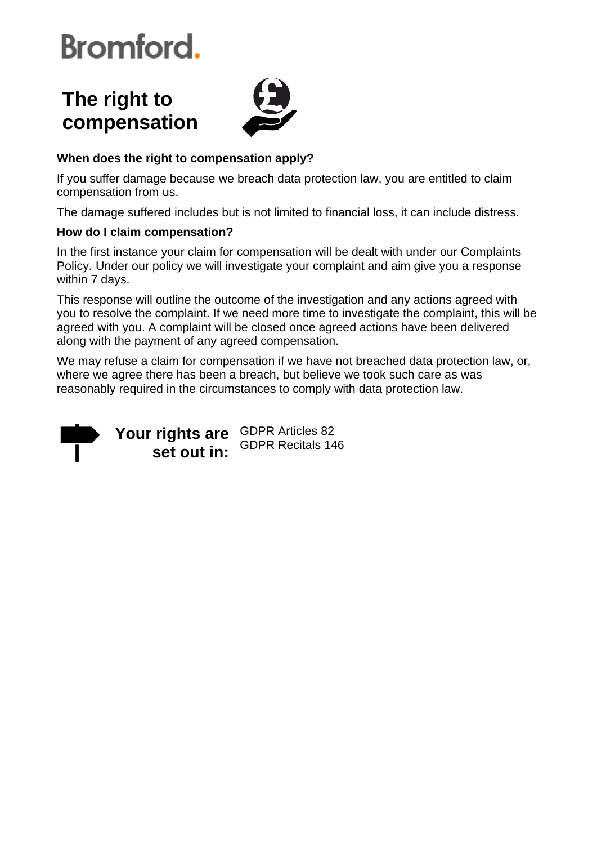### **The right to compensation**



### **When does the right to compensation apply?**

If you suffer damage because we breach data protection law, you are entitled to claim compensation from us.

The damage suffered includes but is not limited to financial loss, it can include distress.

### **How do I claim compensation?**

In the first instance your claim for compensation will be dealt with under our Complaints Policy. Under our policy we will investigate your complaint and aim give you a response within 7 days.

This response will outline the outcome of the investigation and any actions agreed with you to resolve the complaint. If we need more time to investigate the complaint, this will be agreed with you. A complaint will be closed once agreed actions have been delivered along with the payment of any agreed compensation.

We may refuse a claim for compensation if we have not breached data protection law, or, where we agree there has been a breach, but believe we took such care as was reasonably required in the circumstances to comply with data protection law.



Your rights are **GDPR Articles 82 set out in:** GDPR Recitals 146